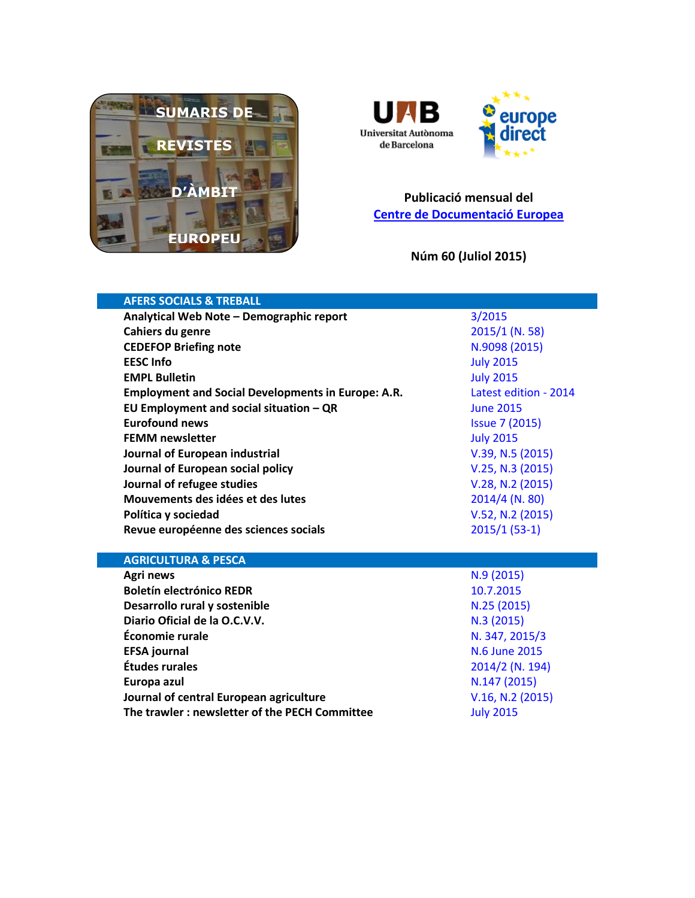



## **Publicació mensual del [Centre de Documentació Europea](http://www.uab.cat/biblioteques/cde/)**

**Núm 60 (Juliol 2015)**

| <b>AFERS SOCIALS &amp; TREBALL</b>                        |                       |
|-----------------------------------------------------------|-----------------------|
| Analytical Web Note - Demographic report                  | 3/2015                |
| Cahiers du genre                                          | 2015/1 (N. 58)        |
| <b>CEDEFOP Briefing note</b>                              | N.9098 (2015)         |
| <b>EESC Info</b>                                          | <b>July 2015</b>      |
| <b>EMPL Bulletin</b>                                      | <b>July 2015</b>      |
| <b>Employment and Social Developments in Europe: A.R.</b> | Latest edition - 2014 |
| EU Employment and social situation $-QR$                  | <b>June 2015</b>      |
| <b>Eurofound news</b>                                     | <b>Issue 7 (2015)</b> |
| <b>FEMM newsletter</b>                                    | <b>July 2015</b>      |
| Journal of European industrial                            | V.39, N.5 (2015)      |
| Journal of European social policy                         | V.25, N.3 (2015)      |
| Journal of refugee studies                                | V.28, N.2 (2015)      |
| Mouvements des idées et des lutes                         | $2014/4$ (N. 80)      |
| Política y sociedad                                       | V.52, N.2 (2015)      |
| Revue européenne des sciences socials                     | $2015/1(53-1)$        |
|                                                           |                       |
| <b>AGRICULTURA &amp; PESCA</b>                            |                       |
| Agri news                                                 | N.9(2015)             |
| <b>Boletín electrónico REDR</b>                           | 10.7.2015             |
| Desarrollo rural y sostenible                             | N.25 (2015)           |
| Diario Oficial de la O.C.V.V.                             | N.3 (2015)            |

**Économie rurale** [N. 347, 2015/3](http://www.cairn.info/revue-economie-rurale-2015-3.htm) **EFSA journal** [N.6 June](http://www.efsa.europa.eu/en/efsajournal/latest.htm) 2015 **Études rurales** [2014/2 \(N. 194\)](http://www.cairn-int.info/journal-etudes-rurales-2014-2.htm) **Europa azul N.147 [\(2015\)](http://www.europa-azul.es/) Journal of central European agriculture [V.16, N.2](https://jcea.agr.hr/volumes.php?lang=en&search=Vol%3Acurrent) (2015)** 

**The trawler : newsletter of the PECH Committee** [July 2015](https://polcms.secure.europarl.europa.eu/cmsdata/upload/737ac129-be97-4472-bbb5-4489bf664c73/Trawler%20July.pdf)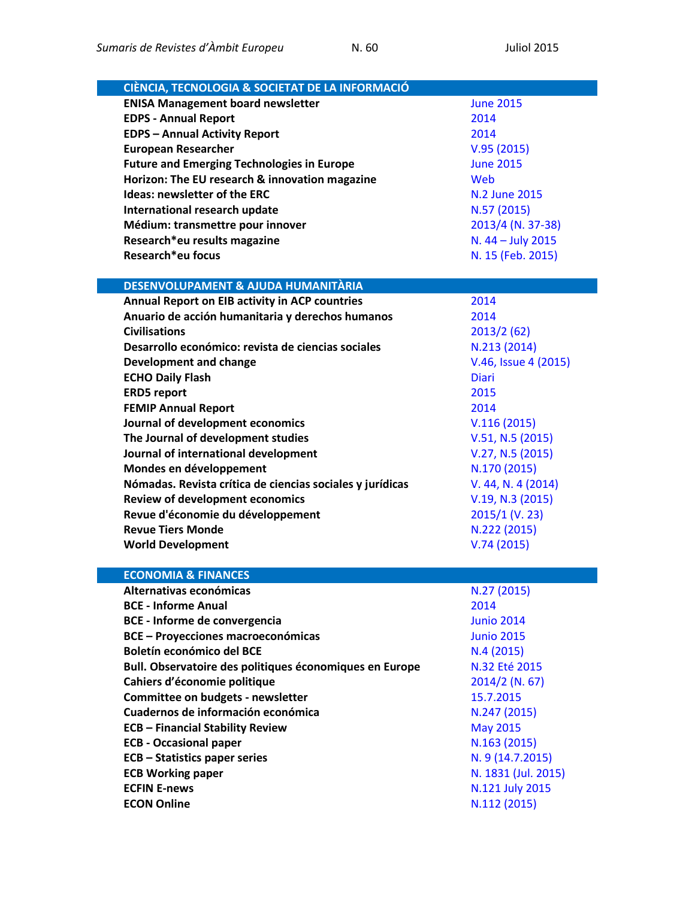| <b>ENISA Management board newsletter</b><br><b>June 2015</b><br><b>EDPS - Annual Report</b><br>2014<br><b>EDPS - Annual Activity Report</b><br>2014<br><b>European Researcher</b><br>V.95(2015)<br><b>Future and Emerging Technologies in Europe</b><br><b>June 2015</b><br>Horizon: The EU research & innovation magazine<br>Web<br><b>Ideas: newsletter of the ERC</b><br>N.2 June 2015<br>International research update<br>N.57 (2015)<br>Médium: transmettre pour innover<br>2013/4 (N. 37-38)<br>Research*eu results magazine<br>N. 44 - July 2015<br>Research*eu focus<br>N. 15 (Feb. 2015)<br>DESENVOLUPAMENT & AJUDA HUMANITÀRIA<br>Annual Report on EIB activity in ACP countries<br>2014<br>Anuario de acción humanitaria y derechos humanos<br>2014<br><b>Civilisations</b><br>2013/2(62)<br>Desarrollo económico: revista de ciencias sociales<br>N.213 (2014)<br>V.46, Issue 4 (2015)<br><b>Development and change</b><br><b>ECHO Daily Flash</b><br><b>Diari</b><br><b>ERD5</b> report<br>2015<br><b>FEMIP Annual Report</b><br>2014<br>Journal of development economics<br>V.116(2015)<br>The Journal of development studies<br>V.51, N.5 (2015)<br>Journal of international development<br>V.27, N.5 (2015)<br>Mondes en développement<br>N.170 (2015)<br>Nómadas. Revista crítica de ciencias sociales y jurídicas<br>V. 44, N. 4 (2014)<br><b>Review of development economics</b><br>V.19, N.3 (2015)<br>Revue d'économie du développement<br>$2015/1$ (V. 23)<br><b>Revue Tiers Monde</b><br>N.222 (2015)<br><b>World Development</b><br>V.74(2015)<br><b>ECONOMIA &amp; FINANCES</b><br>N.27 (2015)<br>Alternativas económicas<br><b>BCE - Informe Anual</b><br>2014<br><b>BCE - Informe de convergencia</b><br><b>Junio 2014</b><br><b>BCE - Proyecciones macroeconómicas</b><br><b>Junio 2015</b><br>Boletín económico del BCE<br>N.4(2015)<br>Bull. Observatoire des politiques économiques en Europe<br>N.32 Eté 2015<br>Cahiers d'économie politique<br>2014/2 (N. 67)<br>Committee on budgets - newsletter<br>15.7.2015<br>Cuadernos de información económica<br>N.247 (2015)<br><b>ECB - Financial Stability Review</b><br><b>May 2015</b><br><b>ECB - Occasional paper</b><br>N.163 (2015)<br><b>ECB - Statistics paper series</b><br>N. 9 (14.7.2015)<br>N. 1831 (Jul. 2015)<br><b>ECB Working paper</b><br><b>ECFIN E-news</b><br>N.121 July 2015 | CIÈNCIA, TECNOLOGIA & SOCIETAT DE LA INFORMACIÓ |              |
|---------------------------------------------------------------------------------------------------------------------------------------------------------------------------------------------------------------------------------------------------------------------------------------------------------------------------------------------------------------------------------------------------------------------------------------------------------------------------------------------------------------------------------------------------------------------------------------------------------------------------------------------------------------------------------------------------------------------------------------------------------------------------------------------------------------------------------------------------------------------------------------------------------------------------------------------------------------------------------------------------------------------------------------------------------------------------------------------------------------------------------------------------------------------------------------------------------------------------------------------------------------------------------------------------------------------------------------------------------------------------------------------------------------------------------------------------------------------------------------------------------------------------------------------------------------------------------------------------------------------------------------------------------------------------------------------------------------------------------------------------------------------------------------------------------------------------------------------------------------------------------------------------------------------------------------------------------------------------------------------------------------------------------------------------------------------------------------------------------------------------------------------------------------------------------------------------------------------------------------------------------------------------------------------------------------------------------------------------------------------------------|-------------------------------------------------|--------------|
|                                                                                                                                                                                                                                                                                                                                                                                                                                                                                                                                                                                                                                                                                                                                                                                                                                                                                                                                                                                                                                                                                                                                                                                                                                                                                                                                                                                                                                                                                                                                                                                                                                                                                                                                                                                                                                                                                                                                                                                                                                                                                                                                                                                                                                                                                                                                                                                 |                                                 |              |
|                                                                                                                                                                                                                                                                                                                                                                                                                                                                                                                                                                                                                                                                                                                                                                                                                                                                                                                                                                                                                                                                                                                                                                                                                                                                                                                                                                                                                                                                                                                                                                                                                                                                                                                                                                                                                                                                                                                                                                                                                                                                                                                                                                                                                                                                                                                                                                                 |                                                 |              |
|                                                                                                                                                                                                                                                                                                                                                                                                                                                                                                                                                                                                                                                                                                                                                                                                                                                                                                                                                                                                                                                                                                                                                                                                                                                                                                                                                                                                                                                                                                                                                                                                                                                                                                                                                                                                                                                                                                                                                                                                                                                                                                                                                                                                                                                                                                                                                                                 |                                                 |              |
|                                                                                                                                                                                                                                                                                                                                                                                                                                                                                                                                                                                                                                                                                                                                                                                                                                                                                                                                                                                                                                                                                                                                                                                                                                                                                                                                                                                                                                                                                                                                                                                                                                                                                                                                                                                                                                                                                                                                                                                                                                                                                                                                                                                                                                                                                                                                                                                 |                                                 |              |
|                                                                                                                                                                                                                                                                                                                                                                                                                                                                                                                                                                                                                                                                                                                                                                                                                                                                                                                                                                                                                                                                                                                                                                                                                                                                                                                                                                                                                                                                                                                                                                                                                                                                                                                                                                                                                                                                                                                                                                                                                                                                                                                                                                                                                                                                                                                                                                                 |                                                 |              |
|                                                                                                                                                                                                                                                                                                                                                                                                                                                                                                                                                                                                                                                                                                                                                                                                                                                                                                                                                                                                                                                                                                                                                                                                                                                                                                                                                                                                                                                                                                                                                                                                                                                                                                                                                                                                                                                                                                                                                                                                                                                                                                                                                                                                                                                                                                                                                                                 |                                                 |              |
|                                                                                                                                                                                                                                                                                                                                                                                                                                                                                                                                                                                                                                                                                                                                                                                                                                                                                                                                                                                                                                                                                                                                                                                                                                                                                                                                                                                                                                                                                                                                                                                                                                                                                                                                                                                                                                                                                                                                                                                                                                                                                                                                                                                                                                                                                                                                                                                 |                                                 |              |
|                                                                                                                                                                                                                                                                                                                                                                                                                                                                                                                                                                                                                                                                                                                                                                                                                                                                                                                                                                                                                                                                                                                                                                                                                                                                                                                                                                                                                                                                                                                                                                                                                                                                                                                                                                                                                                                                                                                                                                                                                                                                                                                                                                                                                                                                                                                                                                                 |                                                 |              |
|                                                                                                                                                                                                                                                                                                                                                                                                                                                                                                                                                                                                                                                                                                                                                                                                                                                                                                                                                                                                                                                                                                                                                                                                                                                                                                                                                                                                                                                                                                                                                                                                                                                                                                                                                                                                                                                                                                                                                                                                                                                                                                                                                                                                                                                                                                                                                                                 |                                                 |              |
|                                                                                                                                                                                                                                                                                                                                                                                                                                                                                                                                                                                                                                                                                                                                                                                                                                                                                                                                                                                                                                                                                                                                                                                                                                                                                                                                                                                                                                                                                                                                                                                                                                                                                                                                                                                                                                                                                                                                                                                                                                                                                                                                                                                                                                                                                                                                                                                 |                                                 |              |
|                                                                                                                                                                                                                                                                                                                                                                                                                                                                                                                                                                                                                                                                                                                                                                                                                                                                                                                                                                                                                                                                                                                                                                                                                                                                                                                                                                                                                                                                                                                                                                                                                                                                                                                                                                                                                                                                                                                                                                                                                                                                                                                                                                                                                                                                                                                                                                                 |                                                 |              |
|                                                                                                                                                                                                                                                                                                                                                                                                                                                                                                                                                                                                                                                                                                                                                                                                                                                                                                                                                                                                                                                                                                                                                                                                                                                                                                                                                                                                                                                                                                                                                                                                                                                                                                                                                                                                                                                                                                                                                                                                                                                                                                                                                                                                                                                                                                                                                                                 |                                                 |              |
|                                                                                                                                                                                                                                                                                                                                                                                                                                                                                                                                                                                                                                                                                                                                                                                                                                                                                                                                                                                                                                                                                                                                                                                                                                                                                                                                                                                                                                                                                                                                                                                                                                                                                                                                                                                                                                                                                                                                                                                                                                                                                                                                                                                                                                                                                                                                                                                 |                                                 |              |
|                                                                                                                                                                                                                                                                                                                                                                                                                                                                                                                                                                                                                                                                                                                                                                                                                                                                                                                                                                                                                                                                                                                                                                                                                                                                                                                                                                                                                                                                                                                                                                                                                                                                                                                                                                                                                                                                                                                                                                                                                                                                                                                                                                                                                                                                                                                                                                                 |                                                 |              |
|                                                                                                                                                                                                                                                                                                                                                                                                                                                                                                                                                                                                                                                                                                                                                                                                                                                                                                                                                                                                                                                                                                                                                                                                                                                                                                                                                                                                                                                                                                                                                                                                                                                                                                                                                                                                                                                                                                                                                                                                                                                                                                                                                                                                                                                                                                                                                                                 |                                                 |              |
|                                                                                                                                                                                                                                                                                                                                                                                                                                                                                                                                                                                                                                                                                                                                                                                                                                                                                                                                                                                                                                                                                                                                                                                                                                                                                                                                                                                                                                                                                                                                                                                                                                                                                                                                                                                                                                                                                                                                                                                                                                                                                                                                                                                                                                                                                                                                                                                 |                                                 |              |
|                                                                                                                                                                                                                                                                                                                                                                                                                                                                                                                                                                                                                                                                                                                                                                                                                                                                                                                                                                                                                                                                                                                                                                                                                                                                                                                                                                                                                                                                                                                                                                                                                                                                                                                                                                                                                                                                                                                                                                                                                                                                                                                                                                                                                                                                                                                                                                                 |                                                 |              |
|                                                                                                                                                                                                                                                                                                                                                                                                                                                                                                                                                                                                                                                                                                                                                                                                                                                                                                                                                                                                                                                                                                                                                                                                                                                                                                                                                                                                                                                                                                                                                                                                                                                                                                                                                                                                                                                                                                                                                                                                                                                                                                                                                                                                                                                                                                                                                                                 |                                                 |              |
|                                                                                                                                                                                                                                                                                                                                                                                                                                                                                                                                                                                                                                                                                                                                                                                                                                                                                                                                                                                                                                                                                                                                                                                                                                                                                                                                                                                                                                                                                                                                                                                                                                                                                                                                                                                                                                                                                                                                                                                                                                                                                                                                                                                                                                                                                                                                                                                 |                                                 |              |
|                                                                                                                                                                                                                                                                                                                                                                                                                                                                                                                                                                                                                                                                                                                                                                                                                                                                                                                                                                                                                                                                                                                                                                                                                                                                                                                                                                                                                                                                                                                                                                                                                                                                                                                                                                                                                                                                                                                                                                                                                                                                                                                                                                                                                                                                                                                                                                                 |                                                 |              |
|                                                                                                                                                                                                                                                                                                                                                                                                                                                                                                                                                                                                                                                                                                                                                                                                                                                                                                                                                                                                                                                                                                                                                                                                                                                                                                                                                                                                                                                                                                                                                                                                                                                                                                                                                                                                                                                                                                                                                                                                                                                                                                                                                                                                                                                                                                                                                                                 |                                                 |              |
|                                                                                                                                                                                                                                                                                                                                                                                                                                                                                                                                                                                                                                                                                                                                                                                                                                                                                                                                                                                                                                                                                                                                                                                                                                                                                                                                                                                                                                                                                                                                                                                                                                                                                                                                                                                                                                                                                                                                                                                                                                                                                                                                                                                                                                                                                                                                                                                 |                                                 |              |
|                                                                                                                                                                                                                                                                                                                                                                                                                                                                                                                                                                                                                                                                                                                                                                                                                                                                                                                                                                                                                                                                                                                                                                                                                                                                                                                                                                                                                                                                                                                                                                                                                                                                                                                                                                                                                                                                                                                                                                                                                                                                                                                                                                                                                                                                                                                                                                                 |                                                 |              |
|                                                                                                                                                                                                                                                                                                                                                                                                                                                                                                                                                                                                                                                                                                                                                                                                                                                                                                                                                                                                                                                                                                                                                                                                                                                                                                                                                                                                                                                                                                                                                                                                                                                                                                                                                                                                                                                                                                                                                                                                                                                                                                                                                                                                                                                                                                                                                                                 |                                                 |              |
|                                                                                                                                                                                                                                                                                                                                                                                                                                                                                                                                                                                                                                                                                                                                                                                                                                                                                                                                                                                                                                                                                                                                                                                                                                                                                                                                                                                                                                                                                                                                                                                                                                                                                                                                                                                                                                                                                                                                                                                                                                                                                                                                                                                                                                                                                                                                                                                 |                                                 |              |
|                                                                                                                                                                                                                                                                                                                                                                                                                                                                                                                                                                                                                                                                                                                                                                                                                                                                                                                                                                                                                                                                                                                                                                                                                                                                                                                                                                                                                                                                                                                                                                                                                                                                                                                                                                                                                                                                                                                                                                                                                                                                                                                                                                                                                                                                                                                                                                                 |                                                 |              |
|                                                                                                                                                                                                                                                                                                                                                                                                                                                                                                                                                                                                                                                                                                                                                                                                                                                                                                                                                                                                                                                                                                                                                                                                                                                                                                                                                                                                                                                                                                                                                                                                                                                                                                                                                                                                                                                                                                                                                                                                                                                                                                                                                                                                                                                                                                                                                                                 |                                                 |              |
|                                                                                                                                                                                                                                                                                                                                                                                                                                                                                                                                                                                                                                                                                                                                                                                                                                                                                                                                                                                                                                                                                                                                                                                                                                                                                                                                                                                                                                                                                                                                                                                                                                                                                                                                                                                                                                                                                                                                                                                                                                                                                                                                                                                                                                                                                                                                                                                 |                                                 |              |
|                                                                                                                                                                                                                                                                                                                                                                                                                                                                                                                                                                                                                                                                                                                                                                                                                                                                                                                                                                                                                                                                                                                                                                                                                                                                                                                                                                                                                                                                                                                                                                                                                                                                                                                                                                                                                                                                                                                                                                                                                                                                                                                                                                                                                                                                                                                                                                                 |                                                 |              |
|                                                                                                                                                                                                                                                                                                                                                                                                                                                                                                                                                                                                                                                                                                                                                                                                                                                                                                                                                                                                                                                                                                                                                                                                                                                                                                                                                                                                                                                                                                                                                                                                                                                                                                                                                                                                                                                                                                                                                                                                                                                                                                                                                                                                                                                                                                                                                                                 |                                                 |              |
|                                                                                                                                                                                                                                                                                                                                                                                                                                                                                                                                                                                                                                                                                                                                                                                                                                                                                                                                                                                                                                                                                                                                                                                                                                                                                                                                                                                                                                                                                                                                                                                                                                                                                                                                                                                                                                                                                                                                                                                                                                                                                                                                                                                                                                                                                                                                                                                 |                                                 |              |
|                                                                                                                                                                                                                                                                                                                                                                                                                                                                                                                                                                                                                                                                                                                                                                                                                                                                                                                                                                                                                                                                                                                                                                                                                                                                                                                                                                                                                                                                                                                                                                                                                                                                                                                                                                                                                                                                                                                                                                                                                                                                                                                                                                                                                                                                                                                                                                                 |                                                 |              |
|                                                                                                                                                                                                                                                                                                                                                                                                                                                                                                                                                                                                                                                                                                                                                                                                                                                                                                                                                                                                                                                                                                                                                                                                                                                                                                                                                                                                                                                                                                                                                                                                                                                                                                                                                                                                                                                                                                                                                                                                                                                                                                                                                                                                                                                                                                                                                                                 |                                                 |              |
|                                                                                                                                                                                                                                                                                                                                                                                                                                                                                                                                                                                                                                                                                                                                                                                                                                                                                                                                                                                                                                                                                                                                                                                                                                                                                                                                                                                                                                                                                                                                                                                                                                                                                                                                                                                                                                                                                                                                                                                                                                                                                                                                                                                                                                                                                                                                                                                 |                                                 |              |
|                                                                                                                                                                                                                                                                                                                                                                                                                                                                                                                                                                                                                                                                                                                                                                                                                                                                                                                                                                                                                                                                                                                                                                                                                                                                                                                                                                                                                                                                                                                                                                                                                                                                                                                                                                                                                                                                                                                                                                                                                                                                                                                                                                                                                                                                                                                                                                                 |                                                 |              |
|                                                                                                                                                                                                                                                                                                                                                                                                                                                                                                                                                                                                                                                                                                                                                                                                                                                                                                                                                                                                                                                                                                                                                                                                                                                                                                                                                                                                                                                                                                                                                                                                                                                                                                                                                                                                                                                                                                                                                                                                                                                                                                                                                                                                                                                                                                                                                                                 |                                                 |              |
|                                                                                                                                                                                                                                                                                                                                                                                                                                                                                                                                                                                                                                                                                                                                                                                                                                                                                                                                                                                                                                                                                                                                                                                                                                                                                                                                                                                                                                                                                                                                                                                                                                                                                                                                                                                                                                                                                                                                                                                                                                                                                                                                                                                                                                                                                                                                                                                 |                                                 |              |
|                                                                                                                                                                                                                                                                                                                                                                                                                                                                                                                                                                                                                                                                                                                                                                                                                                                                                                                                                                                                                                                                                                                                                                                                                                                                                                                                                                                                                                                                                                                                                                                                                                                                                                                                                                                                                                                                                                                                                                                                                                                                                                                                                                                                                                                                                                                                                                                 |                                                 |              |
|                                                                                                                                                                                                                                                                                                                                                                                                                                                                                                                                                                                                                                                                                                                                                                                                                                                                                                                                                                                                                                                                                                                                                                                                                                                                                                                                                                                                                                                                                                                                                                                                                                                                                                                                                                                                                                                                                                                                                                                                                                                                                                                                                                                                                                                                                                                                                                                 |                                                 |              |
|                                                                                                                                                                                                                                                                                                                                                                                                                                                                                                                                                                                                                                                                                                                                                                                                                                                                                                                                                                                                                                                                                                                                                                                                                                                                                                                                                                                                                                                                                                                                                                                                                                                                                                                                                                                                                                                                                                                                                                                                                                                                                                                                                                                                                                                                                                                                                                                 |                                                 |              |
|                                                                                                                                                                                                                                                                                                                                                                                                                                                                                                                                                                                                                                                                                                                                                                                                                                                                                                                                                                                                                                                                                                                                                                                                                                                                                                                                                                                                                                                                                                                                                                                                                                                                                                                                                                                                                                                                                                                                                                                                                                                                                                                                                                                                                                                                                                                                                                                 |                                                 |              |
|                                                                                                                                                                                                                                                                                                                                                                                                                                                                                                                                                                                                                                                                                                                                                                                                                                                                                                                                                                                                                                                                                                                                                                                                                                                                                                                                                                                                                                                                                                                                                                                                                                                                                                                                                                                                                                                                                                                                                                                                                                                                                                                                                                                                                                                                                                                                                                                 |                                                 |              |
|                                                                                                                                                                                                                                                                                                                                                                                                                                                                                                                                                                                                                                                                                                                                                                                                                                                                                                                                                                                                                                                                                                                                                                                                                                                                                                                                                                                                                                                                                                                                                                                                                                                                                                                                                                                                                                                                                                                                                                                                                                                                                                                                                                                                                                                                                                                                                                                 |                                                 |              |
|                                                                                                                                                                                                                                                                                                                                                                                                                                                                                                                                                                                                                                                                                                                                                                                                                                                                                                                                                                                                                                                                                                                                                                                                                                                                                                                                                                                                                                                                                                                                                                                                                                                                                                                                                                                                                                                                                                                                                                                                                                                                                                                                                                                                                                                                                                                                                                                 |                                                 |              |
|                                                                                                                                                                                                                                                                                                                                                                                                                                                                                                                                                                                                                                                                                                                                                                                                                                                                                                                                                                                                                                                                                                                                                                                                                                                                                                                                                                                                                                                                                                                                                                                                                                                                                                                                                                                                                                                                                                                                                                                                                                                                                                                                                                                                                                                                                                                                                                                 |                                                 |              |
|                                                                                                                                                                                                                                                                                                                                                                                                                                                                                                                                                                                                                                                                                                                                                                                                                                                                                                                                                                                                                                                                                                                                                                                                                                                                                                                                                                                                                                                                                                                                                                                                                                                                                                                                                                                                                                                                                                                                                                                                                                                                                                                                                                                                                                                                                                                                                                                 |                                                 |              |
|                                                                                                                                                                                                                                                                                                                                                                                                                                                                                                                                                                                                                                                                                                                                                                                                                                                                                                                                                                                                                                                                                                                                                                                                                                                                                                                                                                                                                                                                                                                                                                                                                                                                                                                                                                                                                                                                                                                                                                                                                                                                                                                                                                                                                                                                                                                                                                                 | <b>ECON Online</b>                              | N.112 (2015) |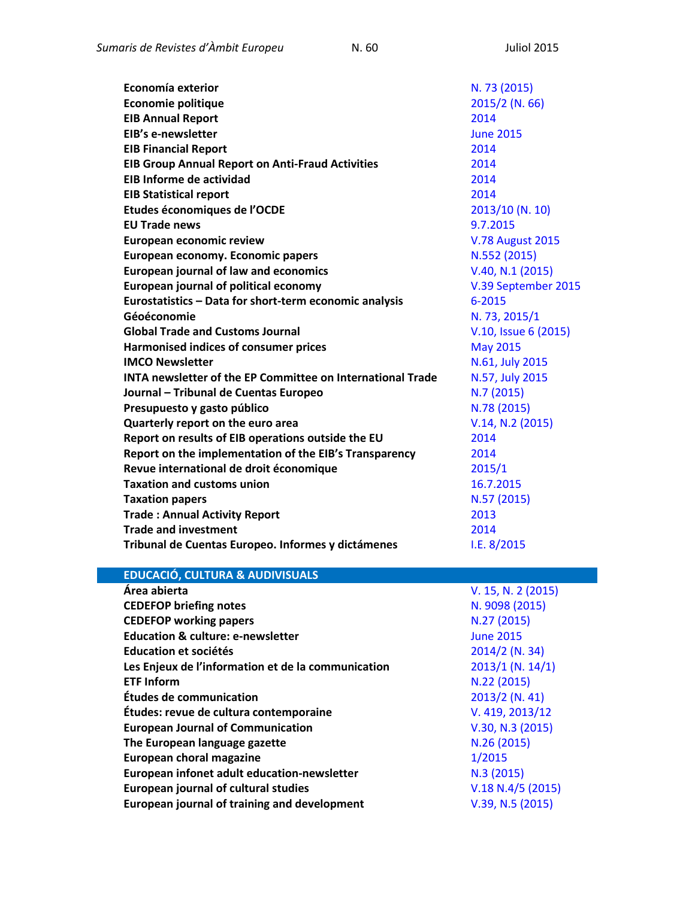| Economía exterior                                                 | N. 73 (2015)            |
|-------------------------------------------------------------------|-------------------------|
| <b>Economie politique</b>                                         | 2015/2 (N. 66)          |
| <b>EIB Annual Report</b>                                          | 2014                    |
| EIB's e-newsletter                                                | <b>June 2015</b>        |
| <b>EIB Financial Report</b>                                       | 2014                    |
| <b>EIB Group Annual Report on Anti-Fraud Activities</b>           | 2014                    |
| <b>EIB Informe de actividad</b>                                   | 2014                    |
| <b>EIB Statistical report</b>                                     | 2014                    |
| Etudes économiques de l'OCDE                                      | 2013/10 (N. 10)         |
| <b>EU Trade news</b>                                              | 9.7.2015                |
| <b>European economic review</b>                                   | <b>V.78 August 2015</b> |
| European economy. Economic papers                                 | N.552 (2015)            |
| <b>European journal of law and economics</b>                      | V.40, N.1 (2015)        |
| <b>European journal of political economy</b>                      | V.39 September 2015     |
| Eurostatistics - Data for short-term economic analysis            | 6-2015                  |
| Géoéconomie                                                       | N. 73, 2015/1           |
| <b>Global Trade and Customs Journal</b>                           | V.10, Issue 6 (2015)    |
| Harmonised indices of consumer prices                             | <b>May 2015</b>         |
| <b>IMCO Newsletter</b>                                            | N.61, July 2015         |
| <b>INTA newsletter of the EP Committee on International Trade</b> | N.57, July 2015         |
| Journal - Tribunal de Cuentas Europeo                             | N.7(2015)               |
| Presupuesto y gasto público                                       | N.78 (2015)             |
| Quarterly report on the euro area                                 | V.14, N.2 (2015)        |
| Report on results of EIB operations outside the EU                | 2014                    |
| Report on the implementation of the EIB's Transparency            | 2014                    |
| Revue international de droit économique                           | 2015/1                  |
| <b>Taxation and customs union</b>                                 | 16.7.2015               |
| <b>Taxation papers</b>                                            | N.57 (2015)             |
| <b>Trade: Annual Activity Report</b>                              | 2013                    |
| <b>Trade and investment</b>                                       | 2014                    |
| Tribunal de Cuentas Europeo. Informes y dictámenes                | 1.E. 8/2015             |

## **EDUCACIÓ, CULTURA & AUDIVISUALS**

| V. 15, N. 2 (2015) |
|--------------------|
| N. 9098 (2015)     |
| N.27 (2015)        |
| <b>June 2015</b>   |
| 2014/2 (N. 34)     |
| $2013/1$ (N. 14/1) |
| N.22 (2015)        |
| 2013/2 (N. 41)     |
| V. 419, 2013/12    |
| V.30, N.3 (2015)   |
| N.26 (2015)        |
| 1/2015             |
| N.3(2015)          |
| V.18 N.4/5 (2015)  |
| V.39, N.5 (2015)   |
|                    |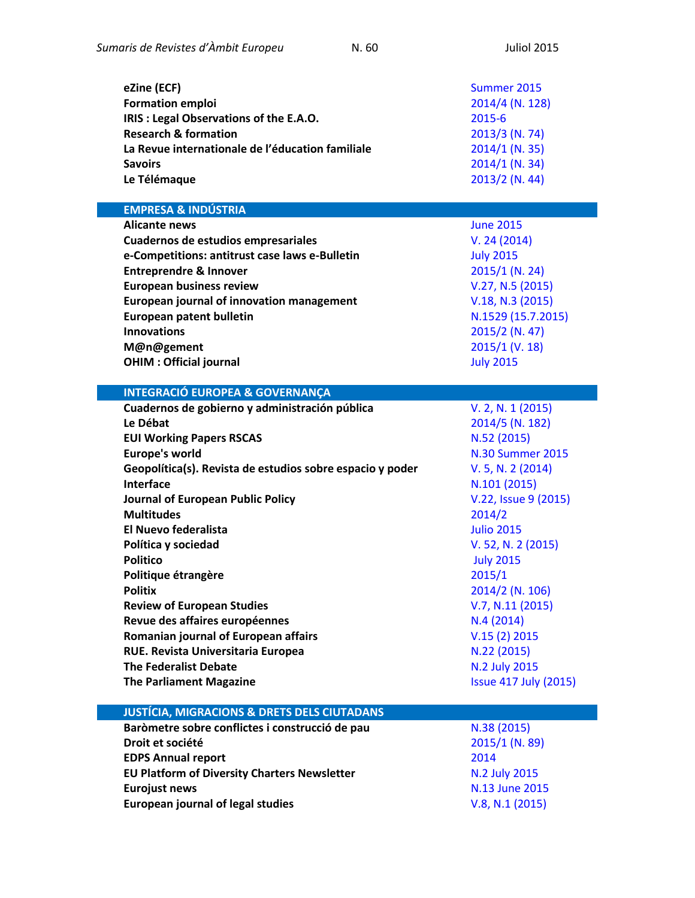| eZine (ECF)                                      | Summer 2015      |
|--------------------------------------------------|------------------|
| <b>Formation emploi</b>                          | 2014/4 (N. 128)  |
| IRIS: Legal Observations of the E.A.O.           | 2015-6           |
| <b>Research &amp; formation</b>                  | 2013/3 (N. 74)   |
| La Revue internationale de l'éducation familiale | $2014/1$ (N. 35) |
| <b>Savoirs</b>                                   | $2014/1$ (N. 34) |
| Le Télémaque                                     | $2013/2$ (N. 44) |

**EMPRESA & INDÚSTRIA Alicante news** [June 2015](https://oami.europa.eu/tunnel-web/secure/webdav/guest/document_library/contentPdfs/about_ohim/alicante_news/alicantenewsJune2015_en.pdf) **Cuadernos de estudios empresariales** [V. 24 \(2014\)](http://revistas.ucm.es/index.php/CESE/issue/current) **e-Competitions: antitrust case laws e-Bulletin** July [2015](http://www.concurrences.com/Bulletin/?lang=fr) **Entreprendre & Innover** [2015/1 \(N. 24\)](http://www.cairn-int.info/journal-entreprendre-et-innover-2015-1.htm) **European business review** [V.27, N.5](http://www.emeraldinsight.com/toc/ebr/27/5) (2015) **European journal of innovation management** [V.18, N.3](http://www.emeraldinsight.com/toc/ejim/18/3) (2015) **European patent bulletin N.1529 [\(15.7.2015\)](http://application.epo.org/bulletin/bulletin1529.pdf) Innovations** [2015/2 \(N. 47\)](http://www.cairn-int.info/journal-innovations-2015-2.htm) **M@n@gement** [2015/1 \(V. 18\)](http://www.cairn-int.info/journal-management-2015-1.htm) **OHIM : Official journal July [2015](https://oami.europa.eu/ohimportal/en/official-journal) INTEGRACIÓ EUROPEA & GOVERNANÇA Cuadernos de gobierno y administración pública** [V. 2, N. 1 \(2015\)](http://revistas.ucm.es/index.php/CGAP/issue/current) **Le Débat** [2014/5 \(N. 182\)](http://www.cairn-int.info/journal-le-debat-2014-5.htm) **EUI Working Papers RSCAS** N.52 [\(2015\)](http://cadmus.eui.eu/handle/1814/36502) **Europe's world Europe's world N.30 [Summer](http://europesworld.org/issues/) 2015 Geopolítica(s). Revista de estudios sobre espacio y poder** [V. 5, N. 2 \(2014\)](http://revistas.ucm.es/index.php/GEOP/issue/current) **Interface** N.101 [\(2015\)](http://www.confrontations.org/images/confrontations/publications/Interfaces/101/Interface-confrontations-EN-101.pdf) **Journal of European Public Policy** [V.22, Issue 9](http://www.tandfonline.com/toc/rjpp20/current#.Va0XtbX0-8B) (2015) **Multitudes** [2014/2](http://www.cairn-int.info/journal-multitudes-2014-2.htm) **El Nuevo federalista** [Julio 2015](http://www.elnuevofederalista.eu/) **Política y sociedad** [V. 52, N. 2 \(2015\)](http://revistas.ucm.es/index.php/POSO/issue/current) **Politico** [July 2015](http://www.politico.eu/) **Politique étrangère** [2015/1](http://www.cairn-int.info/journal-politique-etrangere-2015-1.htm) **Politix** [2014/2 \(N. 106\)](http://www.cairn-int.info/journal-politix-2014-2.htm) **Review of European Studies** [V.7, N.11](http://www.ccsenet.org/journal/index.php/res/issue/current) (2015) **Revue des affaires européennes** N.4 [\(2014\)](http://dialnet.unirioja.es/servlet/revista?codigo=1267) **Romanian journal of European affairs** V.15 [\(2\) 2015](http://search.proquest.com/publicationissue/96211EE439A741FEPQ/$7b$22limiters$22:$5b$5d,$22additionalnavs$22:$5b$5d,$22v$22:$221$22,$22sort$22:$22pageNumberAsc$22,$22param$22:$7b$22instance$22:$22prod.academic$22$7d,$22serializer$22:$22std1.4$22,$22searcht) **RUE. Revista Universitaria Europea**  [\(2015\)](http://www.revistarue.eu/RUE/2015.htm) 8122 (2015)

**The Federalist Debate N.2 July [2015](http://www.federalist-debate.org/index.php/current-issue)** 

**The Parliament Magazine** Issue 417 [July \(2015\)](https://www.theparliamentmagazine.eu/articles/magazines/issue-416417-13-july-2015)

## **JUSTÍCIA, MIGRACIONS & DRETS DELS CIUTADANS Baròmetre sobre conflictes i construcció de pau**  $N.38$  **[\(2015\)](http://escolapau.uab.cat/index.php?option=com_content&view=article&id=535%3Abarometro&catid=86&Itemid=76&lang=ca)**

**Droit et société** [2015/1 \(N. 89\)](http://www.cairn-int.info/journal-droit-et-societe-2015-1.htm) **EDPS Annual report** [2014](https://secure.edps.europa.eu/EDPSWEB/webdav/site/mySite/shared/Documents/EDPS/Publications/Annualreport/2014/EDPS_Annual_Report_2014_Web_EN.pdf) **EU Platform of Diversity Charters Newsletter Mathematic Resource ALCO No No.2 July 2015 Eurojust news [N.13 June](http://eurojust.europa.eu/doclibrary/corporate/newsletter/Eurojust%20News%20Issue%2013%20%28June%202015%29%20on%20the%20freezing%20and%20confiscation%20of%20the%20proceeds%20of%20crime/Eurojust%20News%20Issue%2013%20%28June%202015%29%20on%20the%20freezing%25) 2015 European journal of legal studies** [V.8, N.1](http://www.ejls.eu/issue/17/) (2015)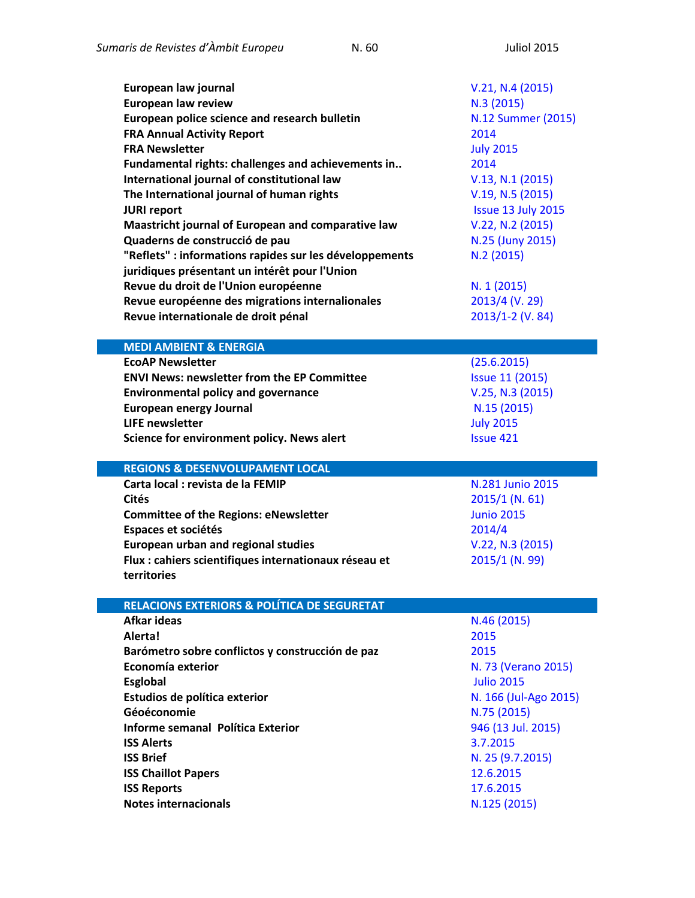| European law journal<br><b>European law review</b><br>European police science and research bulletin<br><b>FRA Annual Activity Report</b><br><b>FRA Newsletter</b><br>Fundamental rights: challenges and achievements in<br>International journal of constitutional law<br>The International journal of human rights<br><b>JURI report</b><br>Maastricht journal of European and comparative law<br>Quaderns de construcció de pau<br>"Reflets" : informations rapides sur les développements<br>juridiques présentant un intérêt pour l'Union<br>Revue du droit de l'Union européenne<br>Revue européenne des migrations internalionales<br>Revue internationale de droit pénal | V.21, N.4 (2015)<br>N.3(2015)<br>N.12 Summer (2015)<br>2014<br><b>July 2015</b><br>2014<br>V.13, N.1 (2015)<br>V.19, N.5 (2015)<br>Issue 13 July 2015<br>V.22, N.2 (2015)<br>N.25 (Juny 2015)<br>N.2(2015)<br>N. 1 (2015)<br>2013/4 (V. 29)<br>2013/1-2 (V. 84) |
|---------------------------------------------------------------------------------------------------------------------------------------------------------------------------------------------------------------------------------------------------------------------------------------------------------------------------------------------------------------------------------------------------------------------------------------------------------------------------------------------------------------------------------------------------------------------------------------------------------------------------------------------------------------------------------|-----------------------------------------------------------------------------------------------------------------------------------------------------------------------------------------------------------------------------------------------------------------|
| <b>MEDI AMBIENT &amp; ENERGIA</b>                                                                                                                                                                                                                                                                                                                                                                                                                                                                                                                                                                                                                                               |                                                                                                                                                                                                                                                                 |
| <b>EcoAP Newsletter</b><br><b>ENVI News: newsletter from the EP Committee</b><br><b>Environmental policy and governance</b><br><b>European energy Journal</b><br><b>LIFE newsletter</b><br>Science for environment policy. News alert                                                                                                                                                                                                                                                                                                                                                                                                                                           | (25.6.2015)<br><b>Issue 11 (2015)</b><br>V.25, N.3 (2015)<br>N.15(2015)<br><b>July 2015</b><br><b>Issue 421</b>                                                                                                                                                 |
| <b>REGIONS &amp; DESENVOLUPAMENT LOCAL</b>                                                                                                                                                                                                                                                                                                                                                                                                                                                                                                                                                                                                                                      |                                                                                                                                                                                                                                                                 |
| Carta local : revista de la FEMIP<br><b>Cités</b><br><b>Committee of the Regions: eNewsletter</b><br>Espaces et sociétés<br><b>European urban and regional studies</b><br>Flux : cahiers scientifiques internationaux réseau et<br>territories                                                                                                                                                                                                                                                                                                                                                                                                                                  | N.281 Junio 2015<br>$2015/1$ (N. 61)<br><b>Junio 2015</b><br>2014/4<br>V.22, N.3 (2015)<br>2015/1 (N. 99)                                                                                                                                                       |
|                                                                                                                                                                                                                                                                                                                                                                                                                                                                                                                                                                                                                                                                                 |                                                                                                                                                                                                                                                                 |
| <b>RELACIONS EXTERIORS &amp; POLÍTICA DE SEGURETAT</b><br><b>Afkar ideas</b><br><b>Alertal</b>                                                                                                                                                                                                                                                                                                                                                                                                                                                                                                                                                                                  | N.46 (2015)<br>2015                                                                                                                                                                                                                                             |
| Barómetro sobre conflictos y construcción de paz<br>Economía exterior<br><b>Esglobal</b>                                                                                                                                                                                                                                                                                                                                                                                                                                                                                                                                                                                        | 2015<br>N. 73 (Verano 2015)<br><b>Julio 2015</b>                                                                                                                                                                                                                |
| Estudios de política exterior<br>Géoéconomie<br>Informe semanal Política Exterior<br><b>ISS Alerts</b>                                                                                                                                                                                                                                                                                                                                                                                                                                                                                                                                                                          | N. 166 (Jul-Ago 2015)<br>N.75 (2015)<br>946 (13 Jul. 2015)<br>3.7.2015                                                                                                                                                                                          |
| <b>ISS Brief</b><br><b>ISS Chaillot Papers</b><br><b>ISS Reports</b><br><b>Notes internacionals</b>                                                                                                                                                                                                                                                                                                                                                                                                                                                                                                                                                                             | N. 25 (9.7.2015)<br>12.6.2015<br>17.6.2015<br>N.125 (2015)                                                                                                                                                                                                      |